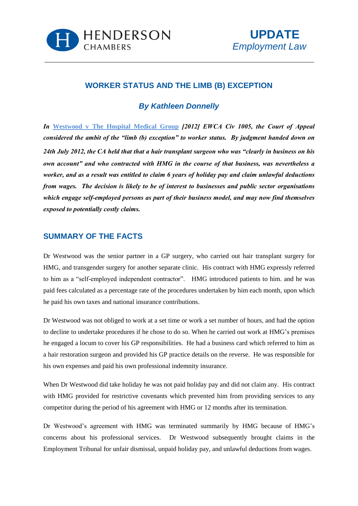



## **WORKER STATUS AND THE LIMB (B) EXCEPTION**

## *By [Kathleen Donnelly](http://www.hendersonchambers.co.uk/barristers/barrister-profiles/junior/kathleen.donnelly)*

*In* **Westwood v The Hospital Medical Group** *[2012] EWCA Civ 1005, the Court of Appeal considered the ambit of the "limb (b) exception" to worker status. By judgment handed down on 24th July 2012, the CA held that that a hair transplant surgeon who was "clearly in business on his own account" and who contracted with HMG in the course of that business, was nevertheless a worker, and as a result was entitled to claim 6 years of holiday pay and claim unlawful deductions from wages. The decision is likely to be of interest to businesses and public sector organisations which engage self-employed persons as part of their business model, and may now find themselves exposed to potentially costly claims.* 

#### **SUMMARY OF THE FACTS**

Dr Westwood was the senior partner in a GP surgery, who carried out hair transplant surgery for HMG, and transgender surgery for another separate clinic. His contract with HMG expressly referred to him as a "self-employed independent contractor". HMG introduced patients to him. and he was paid fees calculated as a percentage rate of the procedures undertaken by him each month, upon which he paid his own taxes and national insurance contributions.

Dr Westwood was not obliged to work at a set time or work a set number of hours, and had the option to decline to undertake procedures if he chose to do so. When he carried out work at HMG's premises he engaged a locum to cover his GP responsibilities. He had a business card which referred to him as a hair restoration surgeon and provided his GP practice details on the reverse. He was responsible for his own expenses and paid his own professional indemnity insurance.

When Dr Westwood did take holiday he was not paid holiday pay and did not claim any. His contract with HMG provided for restrictive covenants which prevented him from providing services to any competitor during the period of his agreement with HMG or 12 months after its termination.

Dr Westwood's agreement with HMG was terminated summarily by HMG because of HMG's concerns about his professional services. Dr Westwood subsequently brought claims in the Employment Tribunal for unfair dismissal, unpaid holiday pay, and unlawful deductions from wages.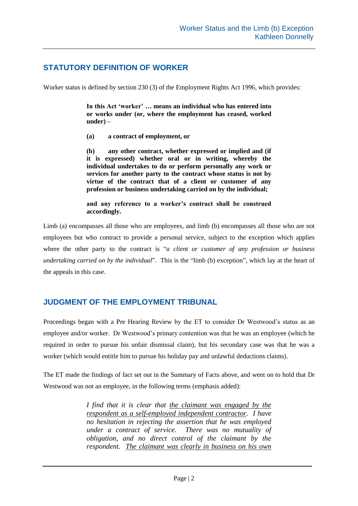## **STATUTORY DEFINITION OF WORKER**

Worker status is defined by section 230 (3) of the Employment Rights Act 1996, which provides:

**In this Act 'worker' … means an individual who has entered into or works under (or, where the employment has ceased, worked under) –** 

**(a) a contract of employment, or** 

**(b) any other contract, whether expressed or implied and (if it is expressed) whether oral or in writing, whereby the individual undertakes to do or perform personally any work or services for another party to the contract whose status is not by virtue of the contract that of a client or customer of any profession or business undertaking carried on by the individual;** 

**and any reference to a worker's contract shall be construed accordingly.** 

Limb (a) encompasses all those who are employees, and limb (b) encompasses all those who are not employees but who contract to provide a personal service, subject to the exception which applies where the other party to the contract is "*a client or customer of any profession or business undertaking carried on by the individual*". This is the "limb (b) exception", which lay at the heart of the appeals in this case.

### **JUDGMENT OF THE EMPLOYMENT TRIBUNAL**

Proceedings began with a Pre Hearing Review by the ET to consider Dr Westwood's status as an employee and/or worker. Dr Westwood's primary contention was that he was an employee (which he required in order to pursue his unfair dismissal claim), but his secondary case was that he was a worker (which would entitle him to pursue his holiday pay and unlawful deductions claims).

The ET made the findings of fact set out in the Summary of Facts above, and went on to hold that Dr Westwood was not an employee, in the following terms (emphasis added):

> *I find that it is clear that the claimant was engaged by the respondent as a self-employed independent contractor. I have no hesitation in rejecting the assertion that he was employed under a contract of service. There was no mutuality of obligation, and no direct control of the claimant by the respondent. The claimant was clearly in business on his own*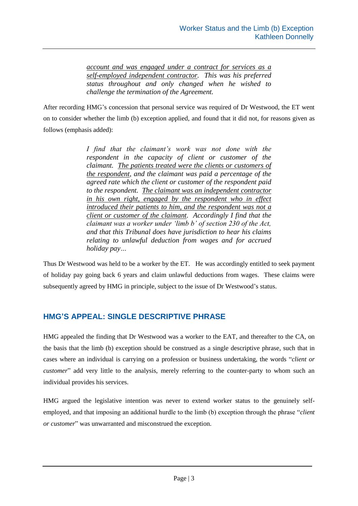*account and was engaged under a contract for services as a self-employed independent contractor. This was his preferred status throughout and only changed when he wished to challenge the termination of the Agreement.* 

After recording HMG's concession that personal service was required of Dr Westwood, the ET went on to consider whether the limb (b) exception applied, and found that it did not, for reasons given as follows (emphasis added):

> *I find that the claimant's work was not done with the respondent in the capacity of client or customer of the claimant. The patients treated were the clients or customers of the respondent, and the claimant was paid a percentage of the agreed rate which the client or customer of the respondent paid to the respondent. The claimant was an independent contractor in his own right, engaged by the respondent who in effect introduced their patients to him, and the respondent was not a client or customer of the claimant. Accordingly I find that the claimant was a worker under 'limb b' of section 230 of the Act, and that this Tribunal does have jurisdiction to hear his claims relating to unlawful deduction from wages and for accrued holiday pay…*

Thus Dr Westwood was held to be a worker by the ET. He was accordingly entitled to seek payment of holiday pay going back 6 years and claim unlawful deductions from wages. These claims were subsequently agreed by HMG in principle, subject to the issue of Dr Westwood's status.

# **HMG'S APPEAL: SINGLE DESCRIPTIVE PHRASE**

HMG appealed the finding that Dr Westwood was a worker to the EAT, and thereafter to the CA, on the basis that the limb (b) exception should be construed as a single descriptive phrase, such that in cases where an individual is carrying on a profession or business undertaking, the words "*client or customer*" add very little to the analysis, merely referring to the counter-party to whom such an individual provides his services.

HMG argued the legislative intention was never to extend worker status to the genuinely selfemployed, and that imposing an additional hurdle to the limb (b) exception through the phrase "*client or customer*" was unwarranted and misconstrued the exception.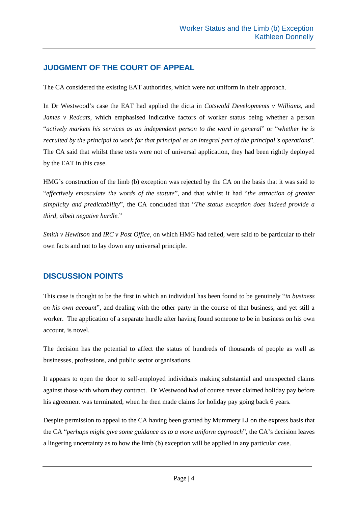## **JUDGMENT OF THE COURT OF APPEAL**

The CA considered the existing EAT authorities, which were not uniform in their approach.

In Dr Westwood's case the EAT had applied the dicta in *Cotswold Developments v Williams*, and *James v Redcats*, which emphasised indicative factors of worker status being whether a person "*actively markets his services as an independent person to the word in general*" or "*whether he is recruited by the principal to work for that principal as an integral part of the principal's operations*". The CA said that whilst these tests were not of universal application, they had been rightly deployed by the EAT in this case.

HMG's construction of the limb (b) exception was rejected by the CA on the basis that it was said to "*effectively emasculate the words of the statute*", and that whilst it had "*the attraction of greater simplicity and predictability*", the CA concluded that "*The status exception does indeed provide a third, albeit negative hurdle.*"

*Smith v Hewitson* and *IRC v Post Office*, on which HMG had relied, were said to be particular to their own facts and not to lay down any universal principle.

### **DISCUSSION POINTS**

This case is thought to be the first in which an individual has been found to be genuinely "*in business on his own account*", and dealing with the other party in the course of that business, and yet still a worker. The application of a separate hurdle after having found someone to be in business on his own account, is novel.

The decision has the potential to affect the status of hundreds of thousands of people as well as businesses, professions, and public sector organisations.

It appears to open the door to self-employed individuals making substantial and unexpected claims against those with whom they contract. Dr Westwood had of course never claimed holiday pay before his agreement was terminated, when he then made claims for holiday pay going back 6 years.

Despite permission to appeal to the CA having been granted by Mummery LJ on the express basis that the CA "*perhaps might give some guidance as to a more uniform approach*", the CA's decision leaves a lingering uncertainty as to how the limb (b) exception will be applied in any particular case.